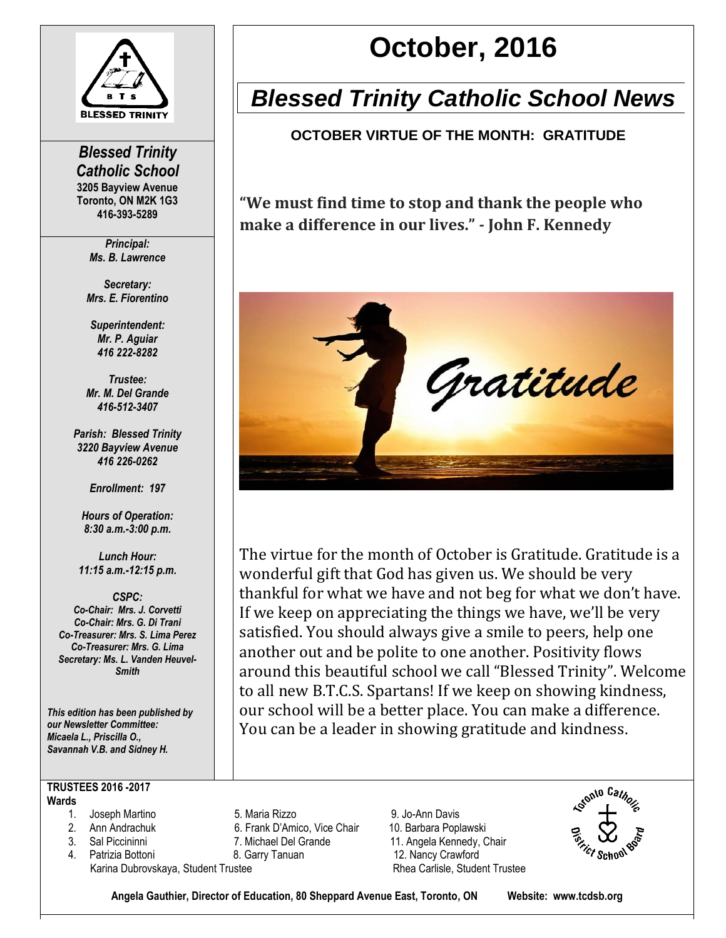

*Blessed Trinity Catholic School* **3205 Bayview Avenue Toronto, ON M2K 1G3 416-393-5289**

> *Principal: Ms. B. Lawrence*

*Secretary: Mrs. E. Fiorentino*

*Superintendent: Mr. P. Aguiar 416 222-8282*

*Trustee: Mr. M. Del Grande 416-512-3407*

*Parish: Blessed Trinity 3220 Bayview Avenue 416 226-0262*

*Enrollment: 197*

*Hours of Operation: 8:30 a.m.-3:00 p.m.*

*Lunch Hour: 11:15 a.m.-12:15 p.m.*

*CSPC: Co-Chair: Mrs. J. Corvetti Co-Chair: Mrs. G. Di Trani Co-Treasurer: Mrs. S. Lima Perez Co-Treasurer: Mrs. G. Lima Secretary: Ms. L. Vanden Heuvel-Smith*

*This edition has been published by our Newsletter Committee: Micaela L., Priscilla O., Savannah V.B. and Sidney H.*

**TRUSTEES 2016 -2017 Wards**

- 
- 
- 
- 4. Patrizia Bottoni **8. Garry Tanuan** 12. Nancy Crawford Karina Dubrovskaya, Student Trustee **Rhea Carlisle, Student Trustee** Rhea Carlisle, Student Trustee

# **October, 2016**

# *Blessed Trinity Catholic School News*

**OCTOBER VIRTUE OF THE MONTH: GRATITUDE**

**"We must find time to stop and thank the people who make a difference in our lives." - John F. Kennedy**



The virtue for the month of October is Gratitude. Gratitude is a wonderful gift that God has given us. We should be very thankful for what we have and not beg for what we don't have. If we keep on appreciating the things we have, we'll be very satisfied. You should always give a smile to peers, help one another out and be polite to one another. Positivity flows around this beautiful school we call "Blessed Trinity". Welcome to all new B.T.C.S. Spartans! If we keep on showing kindness, our school will be a better place. You can make a difference. You can be a leader in showing gratitude and kindness.

1. Joseph Martino 5. Maria Rizzo 9. Jo-Ann Davis 2. Ann Andrachuk 6. Frank D'Amico, Vice Chair 10. Barbara Poplawski 3. Sal Piccininni 7. Michael Del Grande 11. Angela Kennedy, Chair



**Angela Gauthier, Director of Education, 80 Sheppard Avenue East, Toronto, ON Website: www.tcdsb.org**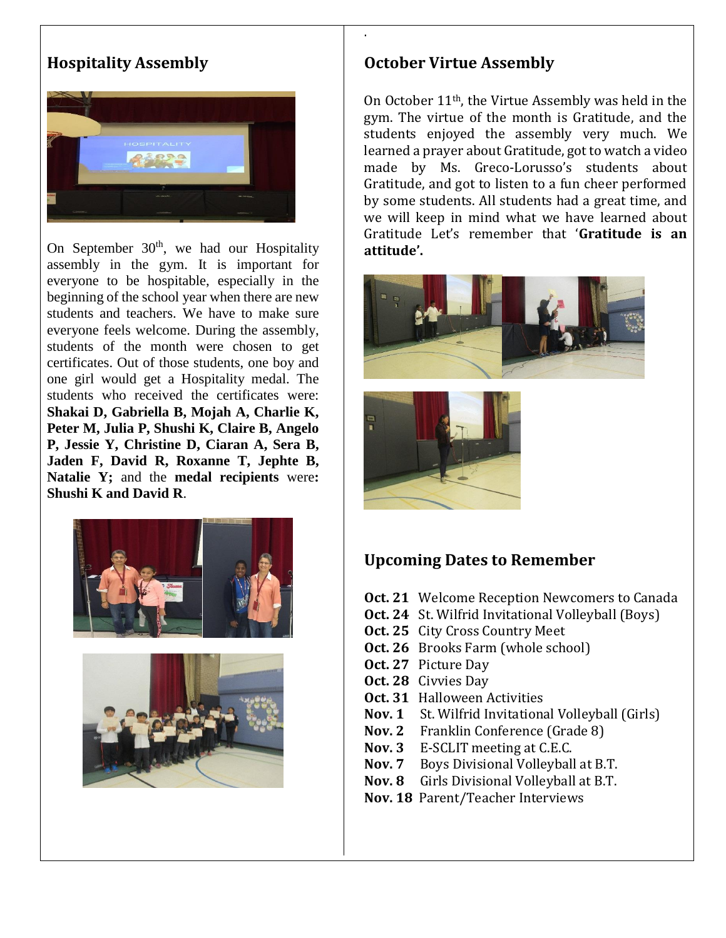# **Hospitality Assembly**



On September  $30<sup>th</sup>$ , we had our Hospitality assembly in the gym. It is important for everyone to be hospitable, especially in the beginning of the school year when there are new students and teachers. We have to make sure everyone feels welcome. During the assembly, students of the month were chosen to get certificates. Out of those students, one boy and one girl would get a Hospitality medal. The students who received the certificates were: **Shakai D, Gabriella B, Mojah A, Charlie K, Peter M, Julia P, Shushi K, Claire B, Angelo P, Jessie Y, Christine D, Ciaran A, Sera B, Jaden F, David R, Roxanne T, Jephte B, Natalie Y;** and the **medal recipients** were**: Shushi K and David R**.





#### **October Virtue Assembly**

**.**

On October 11th, the Virtue Assembly was held in the gym. The virtue of the month is Gratitude, and the students enjoyed the assembly very much. We learned a prayer about Gratitude, got to watch a video made by Ms. Greco-Lorusso's students about Gratitude, and got to listen to a fun cheer performed by some students. All students had a great time, and we will keep in mind what we have learned about Gratitude Let's remember that '**Gratitude is an attitude'.**





#### **Upcoming Dates to Remember**

- **Oct. 21** Welcome Reception Newcomers to Canada
- **Oct. 24** St. Wilfrid Invitational Volleyball (Boys)
- **Oct. 25** City Cross Country Meet
- **Oct. 26** Brooks Farm (whole school)
- **Oct. 27** Picture Day
- **Oct. 28** Civvies Day
- **Oct. 31** Halloween Activities
- **Nov. 1** St. Wilfrid Invitational Volleyball (Girls)
- **Nov. 2** Franklin Conference (Grade 8)
- **Nov. 3** E-SCLIT meeting at C.E.C.
- **Nov. 7** Boys Divisional Volleyball at B.T.
- **Nov. 8** Girls Divisional Volleyball at B.T.
- **Nov. 18** Parent/Teacher Interviews